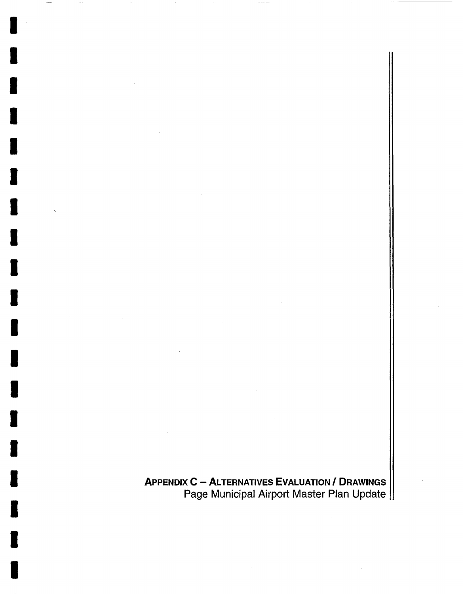APPENDIX C - ALTERNATIVES EVALUATION / DRAWINGS Page Municipal Airport Master Plan Update

I

I

I

I

I

I

I

I

I

I

I

I

I

I

I

I

I

I

I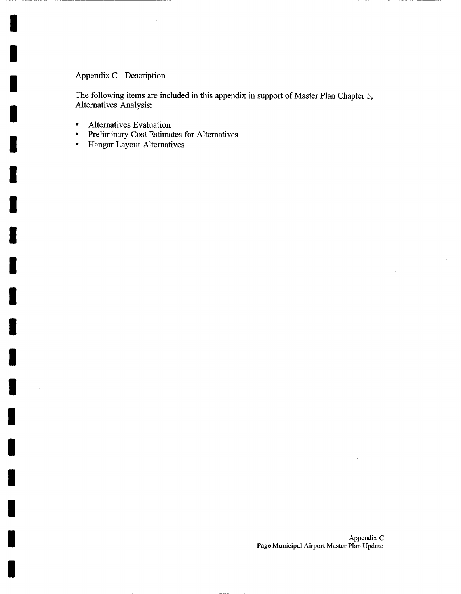## Appendix C - Description

I

I

I

I

I

I

I

I

I

I

I

I

I

I

I

I

I

I

I

The following items are included in this appendix in support of Master Plan Chapter 5, Alternatives Analysis:

- Alternatives Evaluation
- Preliminary Cost Estimates for Alternatives<br>• Hangar Lavout Alternatives
- Hangar Layout Alternatives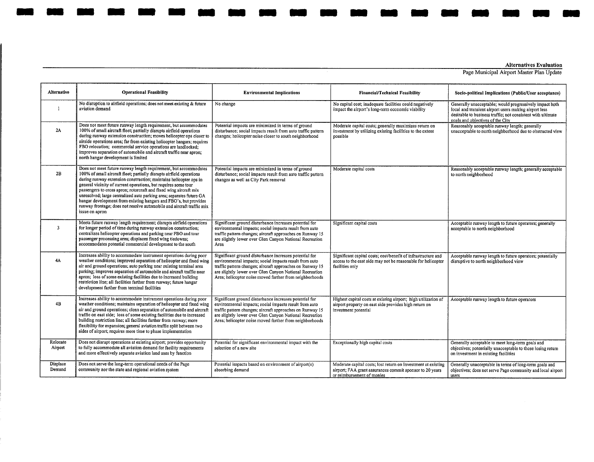## Alternatives Evaluation

Page Municipal Airport Master Plan Update

| Alternative         | <b>Operational Feasibility</b>                                                                                                                                                                                                                                                                                                                                                                                                                                                                                                                                                              | <b>Environmental Implications</b>                                                                                                                                                                                                                                                                   | <b>Financial/Technical Feasibility</b>                                                                                                                                                                                                                                                                                              | Socio-political Implications (Public/User acceptance)                                                                                                   |
|---------------------|---------------------------------------------------------------------------------------------------------------------------------------------------------------------------------------------------------------------------------------------------------------------------------------------------------------------------------------------------------------------------------------------------------------------------------------------------------------------------------------------------------------------------------------------------------------------------------------------|-----------------------------------------------------------------------------------------------------------------------------------------------------------------------------------------------------------------------------------------------------------------------------------------------------|-------------------------------------------------------------------------------------------------------------------------------------------------------------------------------------------------------------------------------------------------------------------------------------------------------------------------------------|---------------------------------------------------------------------------------------------------------------------------------------------------------|
| $\mathbf{I}$        | No disruption to airfield operations; does not meet existing & future<br>aviation demand                                                                                                                                                                                                                                                                                                                                                                                                                                                                                                    | No change                                                                                                                                                                                                                                                                                           | No capital cost; inadequate facilities could negatively<br>Generally unacceptable; would progressively impact both<br>impact the airport's long-term economic viability<br>local and transient airport users making airport less<br>desirable to business traffic; not consistent with ultimate<br>goals and objectives of the City |                                                                                                                                                         |
| 2A                  | Does not meet future runway length requirement, but accommodates<br>100% of small aircraft fleet; partially disrupts airfield operations<br>during runway extension construction; moves helicopter ops closer to<br>airside operations area; far from existing helicopter hangars; requires<br>FBO relocation; commercial service operations are landlocked;<br>improves separation of automobile and aircraft traffic near apron;<br>north hangar development is limited                                                                                                                   | Potential impacts are minimized in terms of ground<br>disturbance; social impacts result from auto traffic pattern<br>changes; helicopter noise closer to south neighborhood                                                                                                                        | Moderate capital costs; generally maximizes return on<br>investment by utilizing existing facilities to the extent<br>possible                                                                                                                                                                                                      | Reasonably acceptable runway length; generally<br>unacceptable to north neighborhood due to obstructed view                                             |
| 2B                  | Does not meet future runway length requirement, but accommodates<br>100% of small aircraft fleet; partially disrupts airfield operations<br>during runway extension construction; maintains helicopter ops in<br>general vicinity of current operations, but requires some tour<br>passengers to cross apron; rotorcraft and fixed wing aircraft mix<br>unresolved; large centralized auto parking area; separates future GA<br>hangar development from existing hangars and FBO's, but provides<br>runway frontage; does not resolve automobile and aircraft traffic mix<br>issue on apron | Potential impacts are minimized in terms of ground<br>disturbance; social impacts result from auto traffic pattern<br>changes as well as City Park removal                                                                                                                                          | Moderate capital costs                                                                                                                                                                                                                                                                                                              | Reasonably acceptable runway length; generally acceptable<br>to north neighborhood                                                                      |
| $\overline{3}$      | Meets future runway length requirement; disrupts airfield operations<br>for longer period of time during runway extension construction;<br>centralizes helicopter operations and parking near FBO and tour<br>passenger processing area; displaces fixed wing tiedowns;<br>accommodates potential commercial development to the south                                                                                                                                                                                                                                                       | Significant ground disturbance increases potential for<br>environmental impacts; social impacts result from auto<br>traffic pattern changes; aircraft approaches on Runway 15<br>are slightly lower over Glen Canyon National Recreation<br>Area                                                    | Significant capital costs                                                                                                                                                                                                                                                                                                           | Acceptable runway length to future operators; generally<br>acceptable to north neighborhood                                                             |
| 4A                  | Increases ability to accommodate instrument operations during poor<br>weather conditions; improved separation of helicopter and fixed wing<br>air and ground operations; auto parking near existing terminal area<br>parking; improves separation of automobile and aircraft traffic near<br>apron; loss of some existing facilities due to increased building<br>restriction line; all facilities farther from runway; future hangar<br>development farther from terminal facilities                                                                                                       | Significant ground disturbance increases potential for<br>environmental impacts; social impacts result from auto<br>traffic pattern changes; aircraft approaches on Runway 15<br>are slightly lower over Glen Canyon National Recreation<br>Area; helicopter noise moved farther from neighborhoods | Significant capital costs; cost/benefit of infrastructure and<br>access to the east side may not be reasonable for helicopter<br>facilities only                                                                                                                                                                                    | Acceptable runway length to future operators; potentially<br>disruptive to north neighborhood view                                                      |
| 4B                  | Increases ability to accommodate instrument operations during poor<br>weather conditions; maintains separation of helicopter and fixed wing<br>air and ground operations; clean separation of automobile and aircraft<br>traffic on east side; loss of some existing facilities due to increased<br>building restriction line; all facilities farther from runway; more<br>flexibility for expansion; general aviation traffic split between two<br>sides of airport; requires more time to phase implementation                                                                            | Significant ground disturbance increases potential for<br>environmental impacts; social impacts result from auto<br>traffic pattern changes; aircraft approaches on Runway 15<br>are slightly lower over Glen Canyon National Recreation<br>Area; helicopter noise moved farther from neighborhoods | Highest capital costs at existing airport; high utilization of<br>airport property on east side provides high return on<br>investment potential                                                                                                                                                                                     | Acceptable runway length to future operators                                                                                                            |
| Relocate<br>Airport | Does not disrupt operations at existing airport; provides opportunity<br>to fully accommodate all aviation demand for facility requirements<br>and more effectively separate aviation land uses by function                                                                                                                                                                                                                                                                                                                                                                                 | Potential for significant environmental impact with the<br>selection of a new site                                                                                                                                                                                                                  | Exceptionally high capital costs                                                                                                                                                                                                                                                                                                    | Generally acceptable to meet long-term goals and<br>objectives; potentially unacceptable to those losing return<br>on investment in existing facilities |
| Displace<br>Demand  | Does not serve the long-term operational needs of the Page<br>community nor the state and regional aviation system                                                                                                                                                                                                                                                                                                                                                                                                                                                                          | Potential impacts based on environment of airport(s)<br>absorbing demand                                                                                                                                                                                                                            | Moderate capital costs; lost return on investment at existing<br>airport; FAA grant assurances commit sponsor to 20 years<br>or reimbursement of monies                                                                                                                                                                             | Generally unacceptable in terms of long-term goals and<br>objectives; does not serve Page community and local airport<br>users                          |

**M**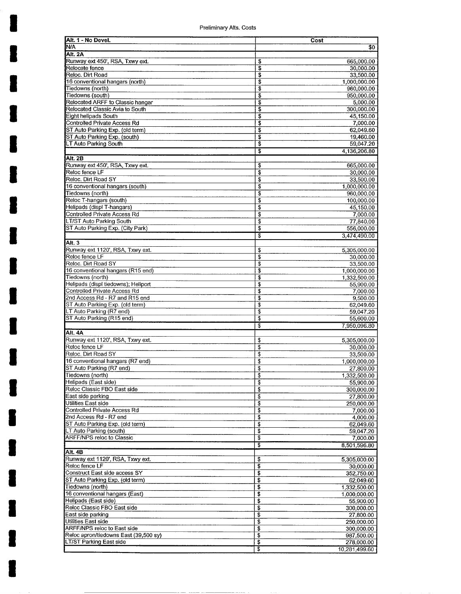Preliminary AIts. Costs

**I** 

**I** 

**I** 

**I** 

**I** 

**I** 

**I** 

**I** 

**I** 

**I** 

**I** 

**I** 

**I** 

**I** 

**I** 

**I** 

**I** 

**I** 

**I** 

| Alt. 1 - No Devel.                                                   |          | Cost                       |
|----------------------------------------------------------------------|----------|----------------------------|
| N/A                                                                  |          | \$0                        |
| Alt. 2A                                                              |          |                            |
| Runway ext 450', RSA, Txwy ext.                                      | \$       | 665,000.00                 |
| Relocate fence                                                       | \$       | 30,000.00                  |
| Reloc. Dirt Road                                                     | \$       | 33,500.00                  |
| 16 conventional hangars (north)<br>Tiedowns (north)                  | \$<br>\$ | 1,000,000.00<br>960,000.00 |
| Tiedowns (south)                                                     | \$       | 950,000.00                 |
| Relocated ARFF to Classic hangar                                     | \$       | 5,000.00                   |
| Relocated Classic Avia to South                                      | \$       | 300.000.00                 |
| Eight helipads South                                                 | \$       | 45,150.00                  |
| Controlled Private Access Rd                                         | \$       | 7,000.00                   |
| ST Auto Parking Exp. (old term)                                      | \$       | 62,049.60                  |
| ST Auto Parking Exp. (south)                                         | \$       | 19,460.00                  |
| LT Auto Parking South                                                | \$       | 59,047.20                  |
|                                                                      | \$       | 4,136,206.80               |
| Alt. 2B<br>Runway ext 450', RSA, Txwy ext.                           |          |                            |
| Reloc fence LF                                                       | \$<br>s  | 665,000.00<br>30,000.00    |
| Reloc. Dirt Road SY                                                  | \$       | 33,500.00                  |
| 16 conventional hangars (south)                                      | \$       | 1,000,000.00               |
| Tiedowns (north)                                                     | \$       | 960,000.00                 |
| Reloc T-hangars (south)                                              | \$       | 100,000.00                 |
| Helipads (displ T-hangars)                                           | \$       | 45,150.00                  |
| Controlled Private Access Rd                                         | \$       | 7,000.00                   |
| LT/ST Auto Parking South                                             | \$       | 77,840.00                  |
| ST Auto Parking Exp. (City Park)                                     | \$       | 556,000.00                 |
|                                                                      | T        | 3,474,490.00               |
| Alt. 3                                                               |          |                            |
| Runway ext 1120', RSA, Txwy ext.<br>Reloc fence LF                   | \$<br>\$ | 5,305,000.00<br>30,000.00  |
| Reloc. Dirt Road SY                                                  | \$       | 33,500.00                  |
| 16 conventional hangars (R15 end)                                    | \$       | 1,000,000.00               |
| Tiedowns (north)                                                     | \$       | 1,332,500.00               |
| Helipads (displ tiedowns); Heliport                                  | \$       | 55,900.00                  |
| Controlled Private Access Rd                                         | \$       | 7,000.00                   |
| 2nd Access Rd - R7 and R15 end                                       | \$       | 9,500.00                   |
| ST Auto Parking Exp. (old term)                                      | \$       | 62,049.60                  |
| LT Auto Parking (R7 end)<br>ST Auto Parking (R15 end)                | \$<br>\$ | 59,047.20<br>55,600.00     |
|                                                                      | \$       | 7.950.096.80               |
| Alt. 4A                                                              |          |                            |
| Runway ext 1120', RSA, Txwy ext.                                     | \$       | 5,305,000.00               |
| Reloc fence LF                                                       | \$       | 30,000.00                  |
| Reloc. Dirt Road SY                                                  | \$       | 33,500.00                  |
| 16 conventional hangars (R7 end)                                     | \$       | 1,000,000.00               |
| ST Auto Parking (R7 end)                                             | \$       | 27,800.00                  |
| Tiedowns (north)                                                     | \$       | 1,332,500.00               |
| Helipads (East side)                                                 | \$       | 55,900.00                  |
| Reloc Classic FBO East side<br>East side parking                     | \$       | 300,000.00                 |
| Utilities East side                                                  | \$<br>\$ | 27,800.00<br>250,000.00    |
| Controlled Private Access Rd                                         | \$       | 7,000.00                   |
| 2nd Access Rd - R7 end                                               | \$       | 4,000.00                   |
| ST Auto Parking Exp. (old term)                                      | \$       | 62,049.60                  |
| LT Auto Parking (south)                                              | \$       | 59,047.20                  |
| <b>ARFF/NPS reloc to Classic</b>                                     | \$       | 7,000.00                   |
|                                                                      | \$       | 8,501,596.80               |
| Alt. 4B                                                              |          |                            |
| Runway ext 1120', RSA, Txwy ext.<br>Reloc fence LF                   | \$<br>\$ | 5,305,000.00<br>30,000.00  |
| Construct East side access SY                                        | \$       | 352,750.00                 |
| ST Auto Parking Exp. (old term)                                      | \$       | 62,049.60                  |
| Tiedowns (north)                                                     | \$       | 1,332,500.00               |
| 16 conventional hangars (East)                                       | \$       | 1,000,000.00               |
| Helipads (East side)                                                 | \$       | 55,900.00                  |
| Reloc Classic FBO East side                                          | \$       | 300,000.00                 |
| East side parking                                                    | \$       | 27,800.00                  |
| Utilities East side                                                  | \$       | 250,000.00                 |
| ARFF/NPS reloc to East side<br>Reloc apron/tiedowns East (39,500 sy) | \$<br>\$ | 300,000.00                 |
| LT/ST Parking East side                                              | \$       | 987,500.00<br>278,000.00   |
|                                                                      | इ        | 10,281,499.60              |